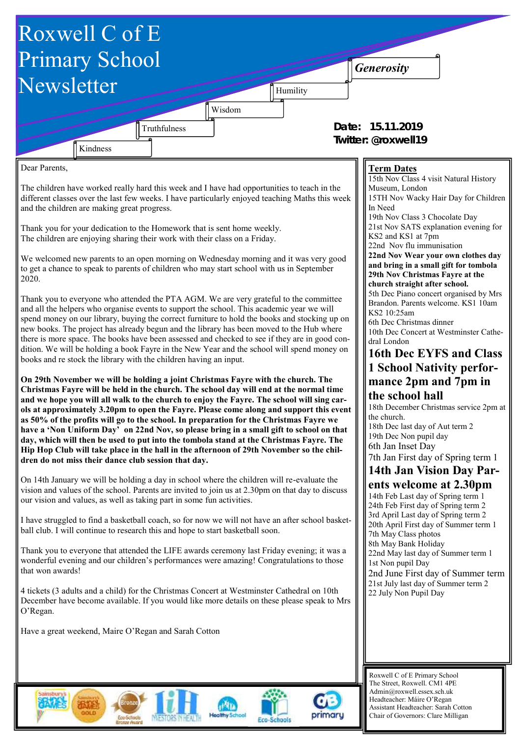

Admin@roxwell.essex.sch.uk Headteacher: Máire O'Regan Assistant Headteacher: Sarah Cotton Chair of Governors: Clare Milligan